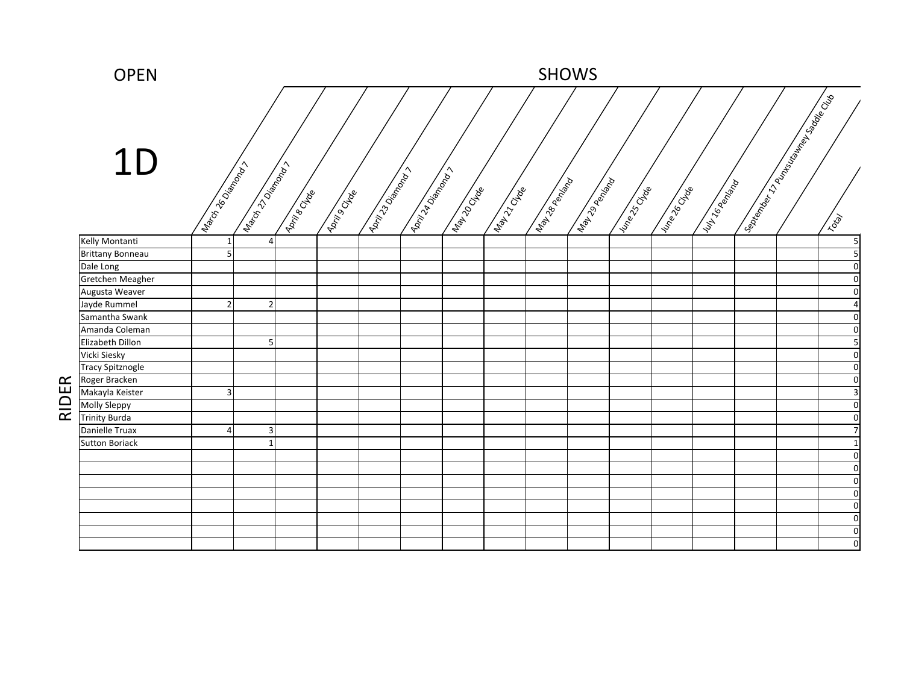|       | <b>OPEN</b>             |                          |                            |                     |                     |                           |                                    |                    |                       |                   | <b>SHOWS</b>           |               |            |                     |                                       |                         |
|-------|-------------------------|--------------------------|----------------------------|---------------------|---------------------|---------------------------|------------------------------------|--------------------|-----------------------|-------------------|------------------------|---------------|------------|---------------------|---------------------------------------|-------------------------|
|       |                         |                          |                            |                     |                     |                           |                                    |                    |                       |                   |                        |               |            |                     | September 1796 March 1894 Sopper Club |                         |
|       | 1D                      |                          |                            |                     |                     |                           |                                    |                    |                       |                   |                        |               |            |                     |                                       |                         |
|       |                         | Indicity 26 order one of | March 27 Disponsible Party | <b>Agita Branch</b> | <b>April 9 City</b> | <b>April 130 Marshall</b> | <b>Amily Addington Proprietary</b> | <b>Manufacture</b> | <b>Again City Cap</b> | Map Asia Employed | <b>May 29 Bandwide</b> | Internet City | Interested | <b>IUNTS BRANCH</b> |                                       | Total                   |
|       | Kelly Montanti          |                          | 41                         |                     |                     |                           |                                    |                    |                       |                   |                        |               |            |                     |                                       | $\mathbf{5}$            |
|       | <b>Brittany Bonneau</b> | 5                        |                            |                     |                     |                           |                                    |                    |                       |                   |                        |               |            |                     |                                       | $\overline{5}$          |
|       | Dale Long               |                          |                            |                     |                     |                           |                                    |                    |                       |                   |                        |               |            |                     |                                       | $\overline{0}$          |
|       | Gretchen Meagher        |                          |                            |                     |                     |                           |                                    |                    |                       |                   |                        |               |            |                     |                                       | $\overline{0}$          |
|       | Augusta Weaver          |                          |                            |                     |                     |                           |                                    |                    |                       |                   |                        |               |            |                     |                                       | $\overline{0}$          |
|       | Jayde Rummel            | $\overline{2}$           | $\overline{2}$             |                     |                     |                           |                                    |                    |                       |                   |                        |               |            |                     |                                       | $\vert 4 \vert$         |
|       | Samantha Swank          |                          |                            |                     |                     |                           |                                    |                    |                       |                   |                        |               |            |                     |                                       | $\overline{0}$          |
|       | Amanda Coleman          |                          |                            |                     |                     |                           |                                    |                    |                       |                   |                        |               |            |                     |                                       | $\overline{0}$          |
|       | Elizabeth Dillon        |                          | 5                          |                     |                     |                           |                                    |                    |                       |                   |                        |               |            |                     |                                       | $\overline{\mathbf{5}}$ |
|       | Vicki Siesky            |                          |                            |                     |                     |                           |                                    |                    |                       |                   |                        |               |            |                     |                                       | $\overline{0}$          |
|       | <b>Tracy Spitznogle</b> |                          |                            |                     |                     |                           |                                    |                    |                       |                   |                        |               |            |                     |                                       | $\overline{0}$          |
|       | Roger Bracken           |                          |                            |                     |                     |                           |                                    |                    |                       |                   |                        |               |            |                     |                                       | $\overline{0}$          |
| RIDER | Makayla Keister         | $\overline{3}$           |                            |                     |                     |                           |                                    |                    |                       |                   |                        |               |            |                     |                                       | $\overline{\mathbf{3}}$ |
|       | Molly Sleppy            |                          |                            |                     |                     |                           |                                    |                    |                       |                   |                        |               |            |                     |                                       | $\overline{0}$          |
|       | <b>Trinity Burda</b>    |                          |                            |                     |                     |                           |                                    |                    |                       |                   |                        |               |            |                     |                                       | $\overline{0}$          |
|       | Danielle Truax          | Δ                        | 3                          |                     |                     |                           |                                    |                    |                       |                   |                        |               |            |                     |                                       | $\overline{7}$          |
|       | <b>Sutton Boriack</b>   |                          |                            |                     |                     |                           |                                    |                    |                       |                   |                        |               |            |                     |                                       |                         |
|       |                         |                          |                            |                     |                     |                           |                                    |                    |                       |                   |                        |               |            |                     |                                       |                         |
|       |                         |                          |                            |                     |                     |                           |                                    |                    |                       |                   |                        |               |            |                     |                                       |                         |
|       |                         |                          |                            |                     |                     |                           |                                    |                    |                       |                   |                        |               |            |                     |                                       |                         |
|       |                         |                          |                            |                     |                     |                           |                                    |                    |                       |                   |                        |               |            |                     |                                       |                         |
|       |                         |                          |                            |                     |                     |                           |                                    |                    |                       |                   |                        |               |            |                     |                                       |                         |
|       |                         |                          |                            |                     |                     |                           |                                    |                    |                       |                   |                        |               |            |                     |                                       | 0                       |
|       |                         |                          |                            |                     |                     |                           |                                    |                    |                       |                   |                        |               |            |                     |                                       |                         |
|       |                         |                          |                            |                     |                     |                           |                                    |                    |                       |                   |                        |               |            |                     |                                       | $\Omega$                |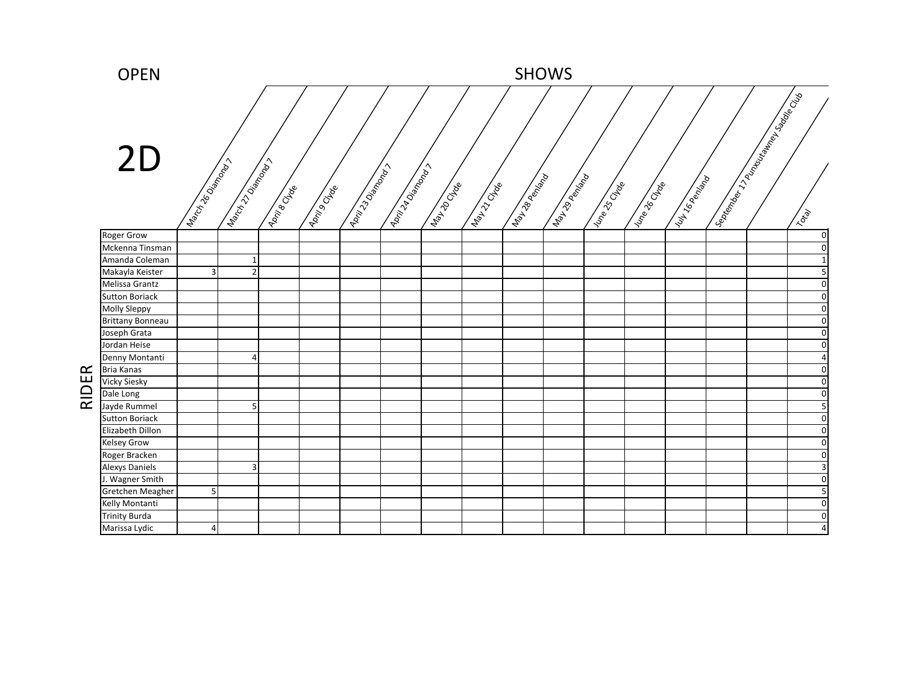

RIDER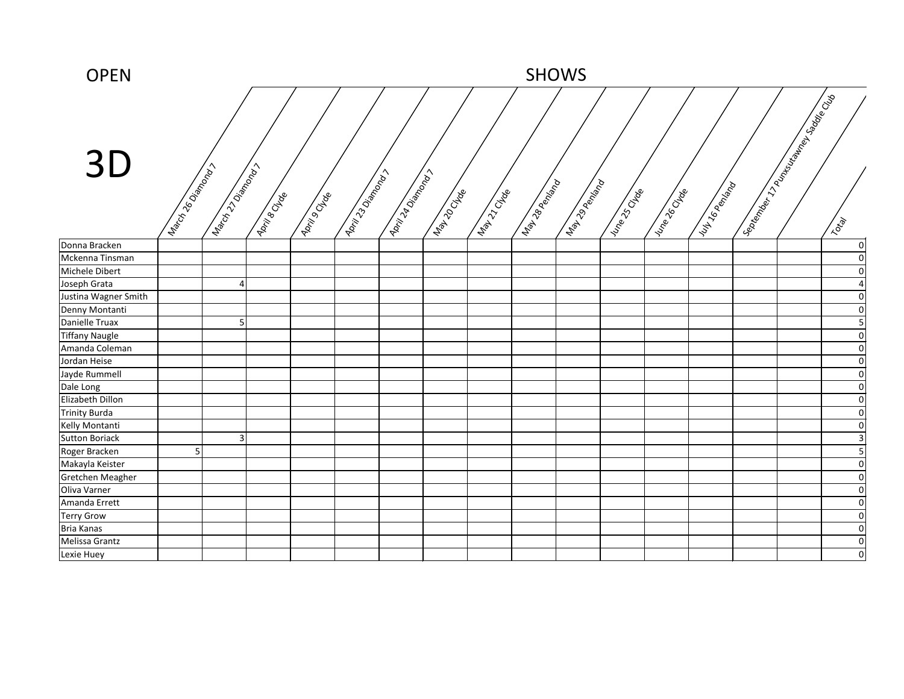| <b>OPEN</b>           | <b>SHOWS</b>            |                            |              |                     |                               |                   |            |              |                      |                            |               |                |               |                                     |  |                                      |
|-----------------------|-------------------------|----------------------------|--------------|---------------------|-------------------------------|-------------------|------------|--------------|----------------------|----------------------------|---------------|----------------|---------------|-------------------------------------|--|--------------------------------------|
| 3D                    | Indicity 26 Dismongraph | I discription of the day > | April 8 Deep | <b>Address Cate</b> | <b>Lairt 23 Dismonstrates</b> | April 14 Dismance | Map 10 CMB | Map 12 Cl de | <b>IMANDREE</b> PORT | Manufacture of Manufacture | I Line Street | I vine de Crée | Lut 16 perday | September 1799 King the Solder Club |  | Total                                |
| Donna Bracken         |                         |                            |              |                     |                               |                   |            |              |                      |                            |               |                |               |                                     |  | $\overline{0}$                       |
| Mckenna Tinsman       |                         |                            |              |                     |                               |                   |            |              |                      |                            |               |                |               |                                     |  | $\overline{0}$                       |
| Michele Dibert        |                         |                            |              |                     |                               |                   |            |              |                      |                            |               |                |               |                                     |  | $\pmb{0}$                            |
| Joseph Grata          |                         |                            |              |                     |                               |                   |            |              |                      |                            |               |                |               |                                     |  | $\overline{\mathbf{4}}$              |
| Justina Wagner Smith  |                         |                            |              |                     |                               |                   |            |              |                      |                            |               |                |               |                                     |  | $\overline{0}$                       |
| Denny Montanti        |                         |                            |              |                     |                               |                   |            |              |                      |                            |               |                |               |                                     |  | $\overline{0}$                       |
| Danielle Truax        |                         |                            |              |                     |                               |                   |            |              |                      |                            |               |                |               |                                     |  | $\overline{5}$                       |
| <b>Tiffany Naugle</b> |                         |                            |              |                     |                               |                   |            |              |                      |                            |               |                |               |                                     |  | $\overline{\mathbf{O}}$              |
| Amanda Coleman        |                         |                            |              |                     |                               |                   |            |              |                      |                            |               |                |               |                                     |  | $\pmb{0}$                            |
| Jordan Heise          |                         |                            |              |                     |                               |                   |            |              |                      |                            |               |                |               |                                     |  | $\overline{\mathbf{O}}$              |
| Jayde Rummell         |                         |                            |              |                     |                               |                   |            |              |                      |                            |               |                |               |                                     |  | $\overline{0}$                       |
| Dale Long             |                         |                            |              |                     |                               |                   |            |              |                      |                            |               |                |               |                                     |  | $\overline{\mathbf{0}}$              |
| Elizabeth Dillon      |                         |                            |              |                     |                               |                   |            |              |                      |                            |               |                |               |                                     |  | $\overline{\mathbf{O}}$              |
| <b>Trinity Burda</b>  |                         |                            |              |                     |                               |                   |            |              |                      |                            |               |                |               |                                     |  | $\overline{0}$                       |
| Kelly Montanti        |                         |                            |              |                     |                               |                   |            |              |                      |                            |               |                |               |                                     |  | $\pmb{0}$                            |
| <b>Sutton Boriack</b> |                         |                            |              |                     |                               |                   |            |              |                      |                            |               |                |               |                                     |  | $\mathsf{3}$                         |
| Roger Bracken         | 5                       |                            |              |                     |                               |                   |            |              |                      |                            |               |                |               |                                     |  | $\overline{\overline{\overline{5}}}$ |
| Makayla Keister       |                         |                            |              |                     |                               |                   |            |              |                      |                            |               |                |               |                                     |  | $\overline{0}$                       |
| Gretchen Meagher      |                         |                            |              |                     |                               |                   |            |              |                      |                            |               |                |               |                                     |  | $\overline{0}$                       |
| Oliva Varner          |                         |                            |              |                     |                               |                   |            |              |                      |                            |               |                |               |                                     |  | $\overline{0}$                       |
| Amanda Errett         |                         |                            |              |                     |                               |                   |            |              |                      |                            |               |                |               |                                     |  | $\overline{0}$                       |
| <b>Terry Grow</b>     |                         |                            |              |                     |                               |                   |            |              |                      |                            |               |                |               |                                     |  | $\overline{0}$                       |
| <b>Bria Kanas</b>     |                         |                            |              |                     |                               |                   |            |              |                      |                            |               |                |               |                                     |  | $\overline{0}$                       |
| Melissa Grantz        |                         |                            |              |                     |                               |                   |            |              |                      |                            |               |                |               |                                     |  | $\overline{0}$                       |
| Lexie Huey            |                         |                            |              |                     |                               |                   |            |              |                      |                            |               |                |               |                                     |  | $\overline{0}$                       |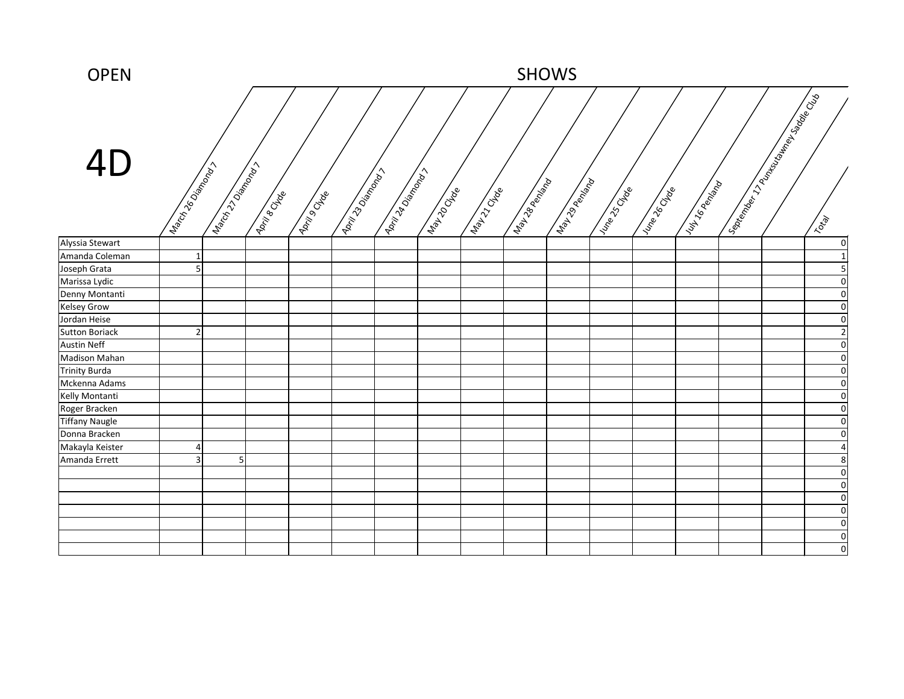| <b>OPEN</b>           | <b>SHOWS</b>        |                |                     |                      |                         |                              |              |             |                |                |               |                   |                   |  |                                                 |                         |
|-----------------------|---------------------|----------------|---------------------|----------------------|-------------------------|------------------------------|--------------|-------------|----------------|----------------|---------------|-------------------|-------------------|--|-------------------------------------------------|-------------------------|
| 4D                    | Indicity 26 or many | March 220 maps | <b>April 8 Dide</b> | <b>April 9 de de</b> | <b>Lairing Sciences</b> | <b>April 22 Dismonstrate</b> | Map 10 CM Re | Mapi Cricke | May 28 Replies | May 29 Renixon | Internet Code | I vine of Critics | Vul 16 Peninsylva |  | September 172 March 18th Strategy of California | Total                   |
| Alyssia Stewart       |                     |                |                     |                      |                         |                              |              |             |                |                |               |                   |                   |  |                                                 | $\overline{0}$          |
| Amanda Coleman        | 1                   |                |                     |                      |                         |                              |              |             |                |                |               |                   |                   |  |                                                 | $1\vert$                |
| Joseph Grata          | 5                   |                |                     |                      |                         |                              |              |             |                |                |               |                   |                   |  |                                                 | 5                       |
| Marissa Lydic         |                     |                |                     |                      |                         |                              |              |             |                |                |               |                   |                   |  |                                                 | $\overline{0}$          |
| Denny Montanti        |                     |                |                     |                      |                         |                              |              |             |                |                |               |                   |                   |  |                                                 | $\overline{0}$          |
| <b>Kelsey Grow</b>    |                     |                |                     |                      |                         |                              |              |             |                |                |               |                   |                   |  |                                                 | $\overline{0}$          |
| Jordan Heise          |                     |                |                     |                      |                         |                              |              |             |                |                |               |                   |                   |  |                                                 | $\overline{0}$          |
| <b>Sutton Boriack</b> | $\overline{2}$      |                |                     |                      |                         |                              |              |             |                |                |               |                   |                   |  |                                                 | $\overline{2}$          |
| <b>Austin Neff</b>    |                     |                |                     |                      |                         |                              |              |             |                |                |               |                   |                   |  |                                                 | $\overline{0}$          |
| <b>Madison Mahan</b>  |                     |                |                     |                      |                         |                              |              |             |                |                |               |                   |                   |  |                                                 | $\overline{0}$          |
| <b>Trinity Burda</b>  |                     |                |                     |                      |                         |                              |              |             |                |                |               |                   |                   |  |                                                 | $\overline{0}$          |
| Mckenna Adams         |                     |                |                     |                      |                         |                              |              |             |                |                |               |                   |                   |  |                                                 | $\overline{0}$          |
| Kelly Montanti        |                     |                |                     |                      |                         |                              |              |             |                |                |               |                   |                   |  |                                                 | $\overline{0}$          |
| Roger Bracken         |                     |                |                     |                      |                         |                              |              |             |                |                |               |                   |                   |  |                                                 | $\overline{\mathbf{0}}$ |
| <b>Tiffany Naugle</b> |                     |                |                     |                      |                         |                              |              |             |                |                |               |                   |                   |  |                                                 | $\overline{0}$          |
| Donna Bracken         |                     |                |                     |                      |                         |                              |              |             |                |                |               |                   |                   |  |                                                 | $\overline{0}$          |
| Makayla Keister       | $\overline{a}$      |                |                     |                      |                         |                              |              |             |                |                |               |                   |                   |  |                                                 | $\overline{\mathbf{A}}$ |
| Amanda Errett         | 3 <sup>1</sup>      | 5 <sub>l</sub> |                     |                      |                         |                              |              |             |                |                |               |                   |                   |  |                                                 | 8 <sup>2</sup>          |
|                       |                     |                |                     |                      |                         |                              |              |             |                |                |               |                   |                   |  |                                                 | $\overline{0}$          |
|                       |                     |                |                     |                      |                         |                              |              |             |                |                |               |                   |                   |  |                                                 | $\overline{0}$          |
|                       |                     |                |                     |                      |                         |                              |              |             |                |                |               |                   |                   |  |                                                 | $\overline{0}$          |
|                       |                     |                |                     |                      |                         |                              |              |             |                |                |               |                   |                   |  |                                                 | 01                      |
|                       |                     |                |                     |                      |                         |                              |              |             |                |                |               |                   |                   |  |                                                 | $\overline{0}$          |
|                       |                     |                |                     |                      |                         |                              |              |             |                |                |               |                   |                   |  |                                                 | 0                       |
|                       |                     |                |                     |                      |                         |                              |              |             |                |                |               |                   |                   |  |                                                 | 0                       |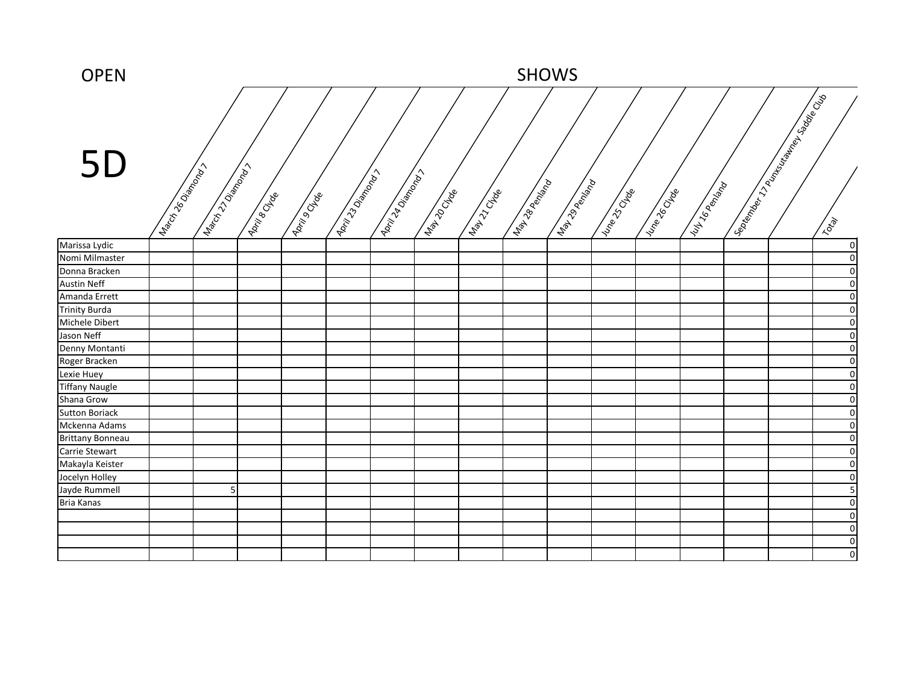| <b>OPEN</b>             | <b>SHOWS</b>             |                 |              |               |                                |                  |              |             |                |               |                |                    |              |  |                                                  |                |
|-------------------------|--------------------------|-----------------|--------------|---------------|--------------------------------|------------------|--------------|-------------|----------------|---------------|----------------|--------------------|--------------|--|--------------------------------------------------|----------------|
| 5D                      | Indicity 26 Dismongraphy | March 270 Maple | April 8 Dide | April 9 Of de | <b>April 23 Dismonstration</b> | April 14 Dismons | Map 10 CM Re | Map 12 Clab | Maribook River | May 29 Renige | I vine of deep | I vine of Critical | VULT6PERITED |  | September 1799 Rock department of September 1996 | Total          |
| Marissa Lydic           |                          |                 |              |               |                                |                  |              |             |                |               |                |                    |              |  |                                                  | $\circ$        |
| Nomi Milmaster          |                          |                 |              |               |                                |                  |              |             |                |               |                |                    |              |  |                                                  | $\overline{0}$ |
| Donna Bracken           |                          |                 |              |               |                                |                  |              |             |                |               |                |                    |              |  |                                                  | $\Omega$       |
| <b>Austin Neff</b>      |                          |                 |              |               |                                |                  |              |             |                |               |                |                    |              |  |                                                  | $\Omega$       |
| Amanda Errett           |                          |                 |              |               |                                |                  |              |             |                |               |                |                    |              |  |                                                  | 0              |
| <b>Trinity Burda</b>    |                          |                 |              |               |                                |                  |              |             |                |               |                |                    |              |  |                                                  | $\Omega$       |
| Michele Dibert          |                          |                 |              |               |                                |                  |              |             |                |               |                |                    |              |  |                                                  | $\Omega$       |
| Jason Neff              |                          |                 |              |               |                                |                  |              |             |                |               |                |                    |              |  |                                                  | $\Omega$       |
| Denny Montanti          |                          |                 |              |               |                                |                  |              |             |                |               |                |                    |              |  |                                                  | $\Omega$       |
| Roger Bracken           |                          |                 |              |               |                                |                  |              |             |                |               |                |                    |              |  |                                                  | $\Omega$       |
| Lexie Huey              |                          |                 |              |               |                                |                  |              |             |                |               |                |                    |              |  |                                                  | $\Omega$       |
| <b>Tiffany Naugle</b>   |                          |                 |              |               |                                |                  |              |             |                |               |                |                    |              |  |                                                  | $\Omega$       |
| Shana Grow              |                          |                 |              |               |                                |                  |              |             |                |               |                |                    |              |  |                                                  | $\Omega$       |
| <b>Sutton Boriack</b>   |                          |                 |              |               |                                |                  |              |             |                |               |                |                    |              |  |                                                  | $\Omega$       |
| Mckenna Adams           |                          |                 |              |               |                                |                  |              |             |                |               |                |                    |              |  |                                                  | $\Omega$       |
| <b>Brittany Bonneau</b> |                          |                 |              |               |                                |                  |              |             |                |               |                |                    |              |  |                                                  | $\Omega$       |
| Carrie Stewart          |                          |                 |              |               |                                |                  |              |             |                |               |                |                    |              |  |                                                  | $\Omega$       |
| Makayla Keister         |                          |                 |              |               |                                |                  |              |             |                |               |                |                    |              |  |                                                  | 0              |
| Jocelyn Holley          |                          |                 |              |               |                                |                  |              |             |                |               |                |                    |              |  |                                                  | $\Omega$       |
| Jayde Rummell           |                          | 5 <sup>1</sup>  |              |               |                                |                  |              |             |                |               |                |                    |              |  |                                                  |                |
| Bria Kanas              |                          |                 |              |               |                                |                  |              |             |                |               |                |                    |              |  |                                                  | 0              |
|                         |                          |                 |              |               |                                |                  |              |             |                |               |                |                    |              |  |                                                  | 01             |
|                         |                          |                 |              |               |                                |                  |              |             |                |               |                |                    |              |  |                                                  | 0              |
|                         |                          |                 |              |               |                                |                  |              |             |                |               |                |                    |              |  |                                                  | $\Omega$       |
|                         |                          |                 |              |               |                                |                  |              |             |                |               |                |                    |              |  |                                                  | $\overline{0}$ |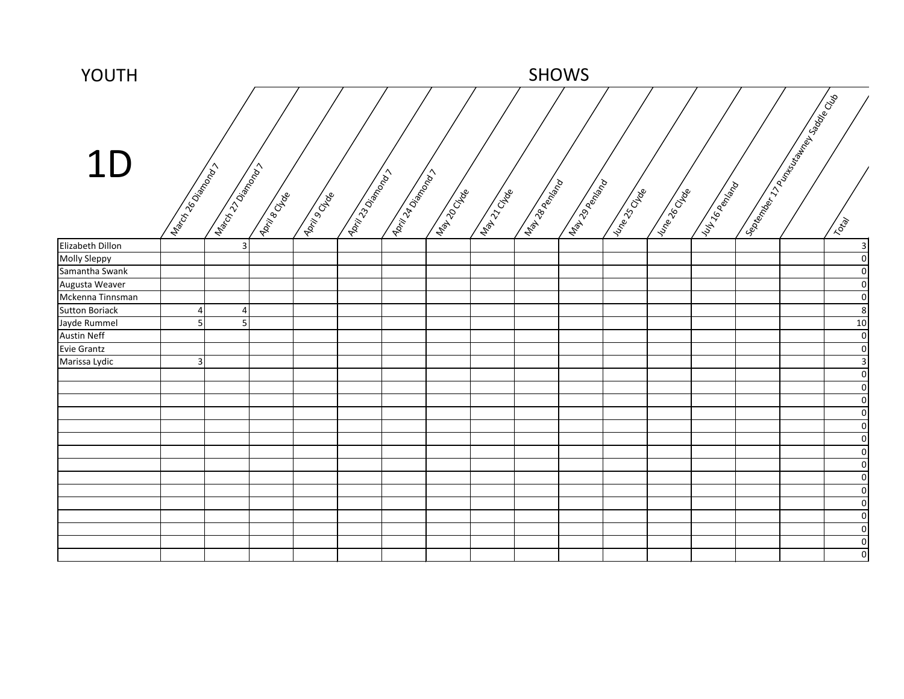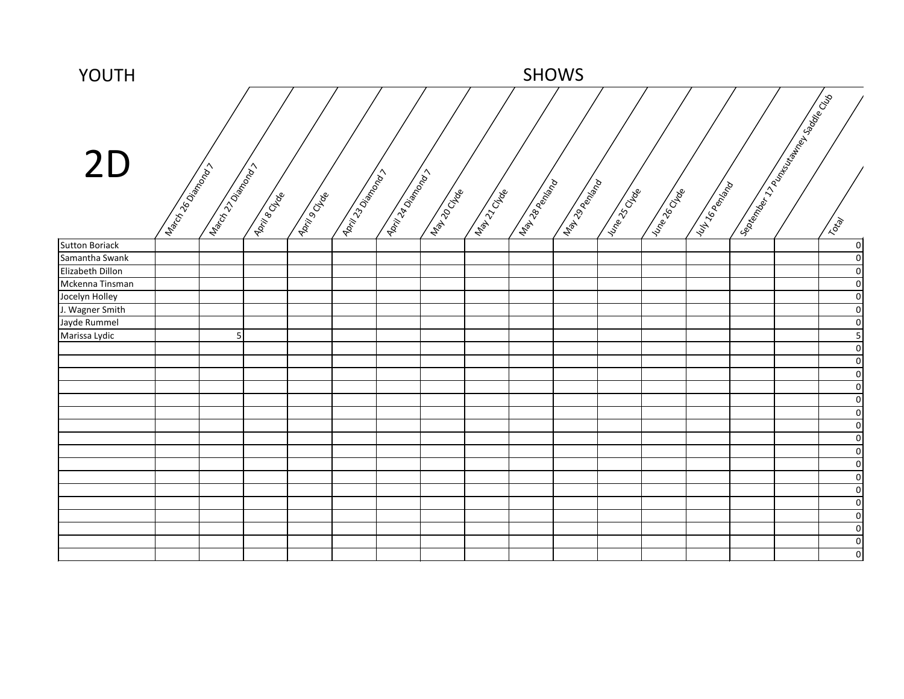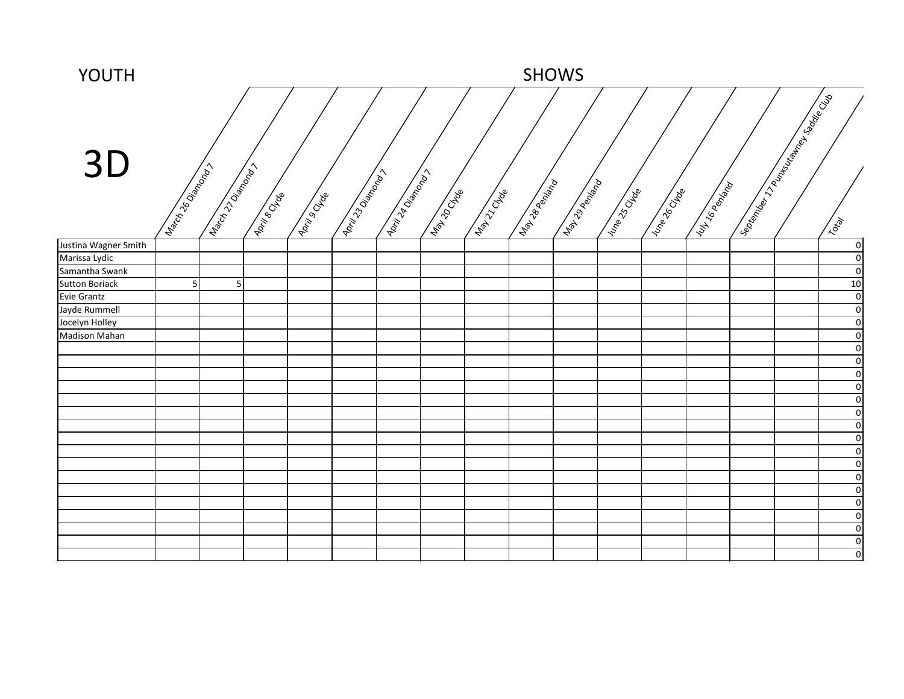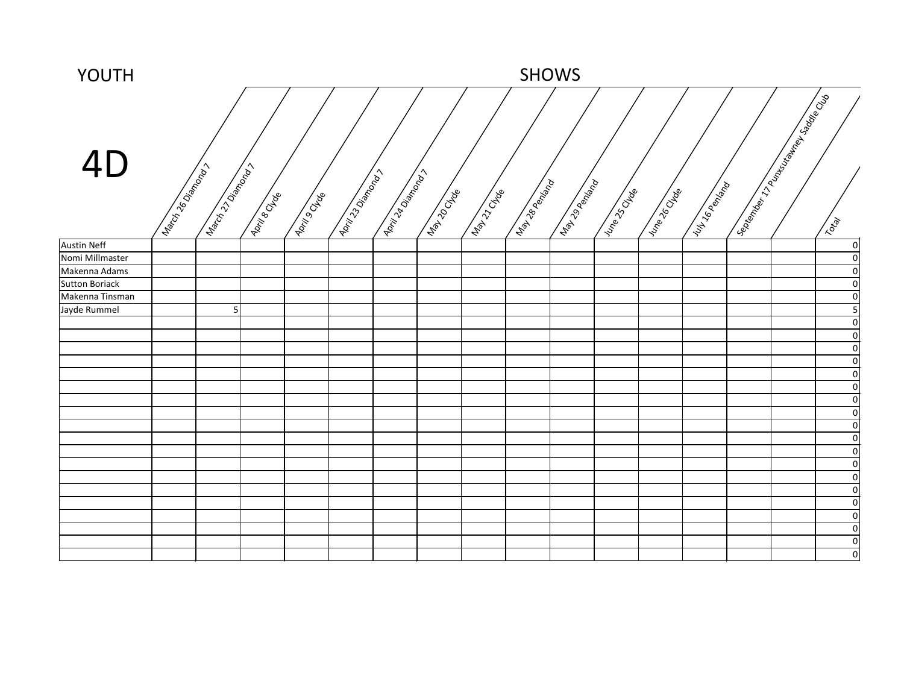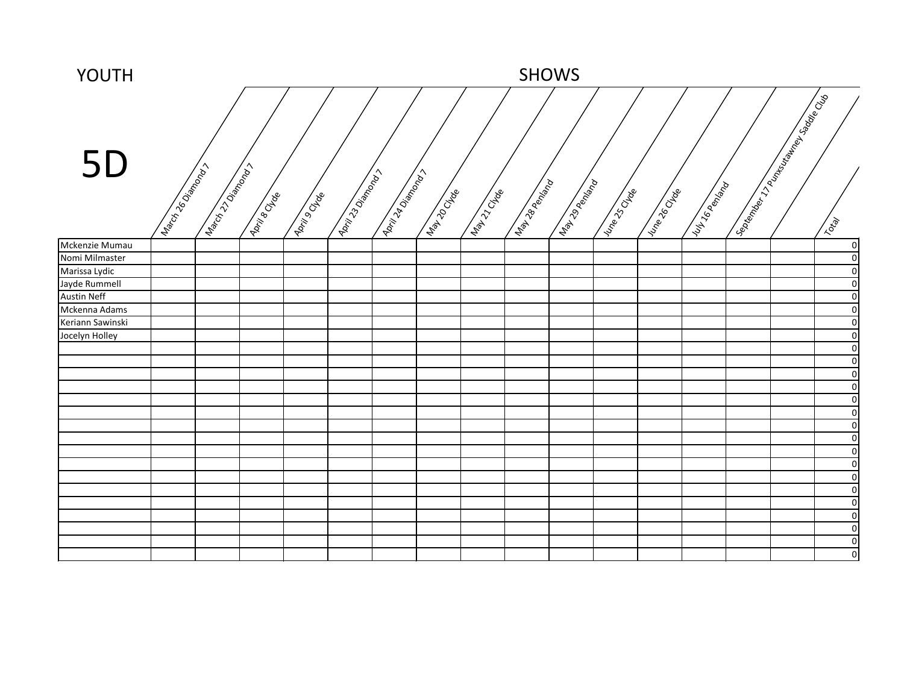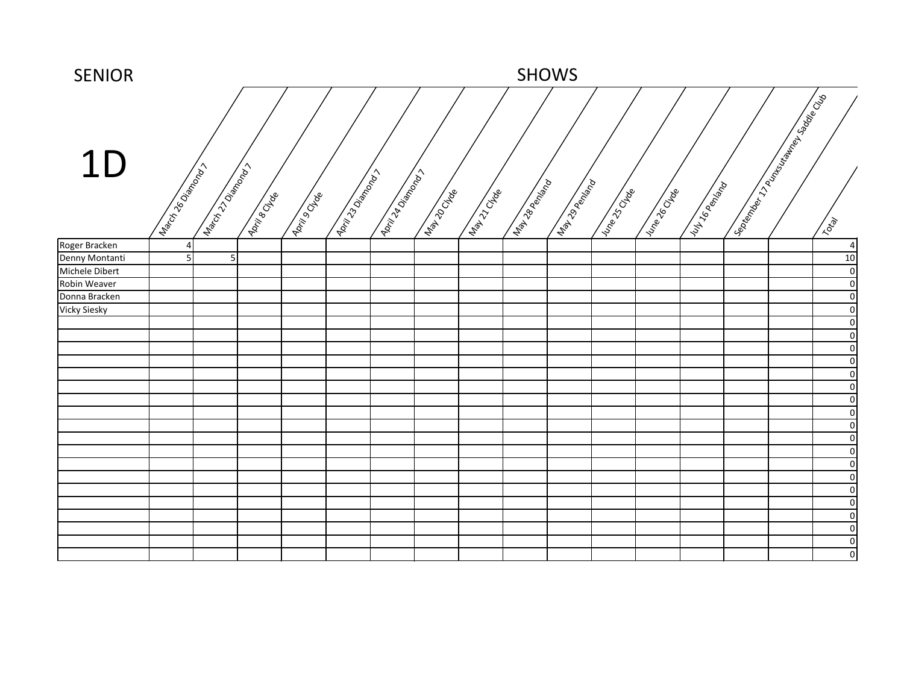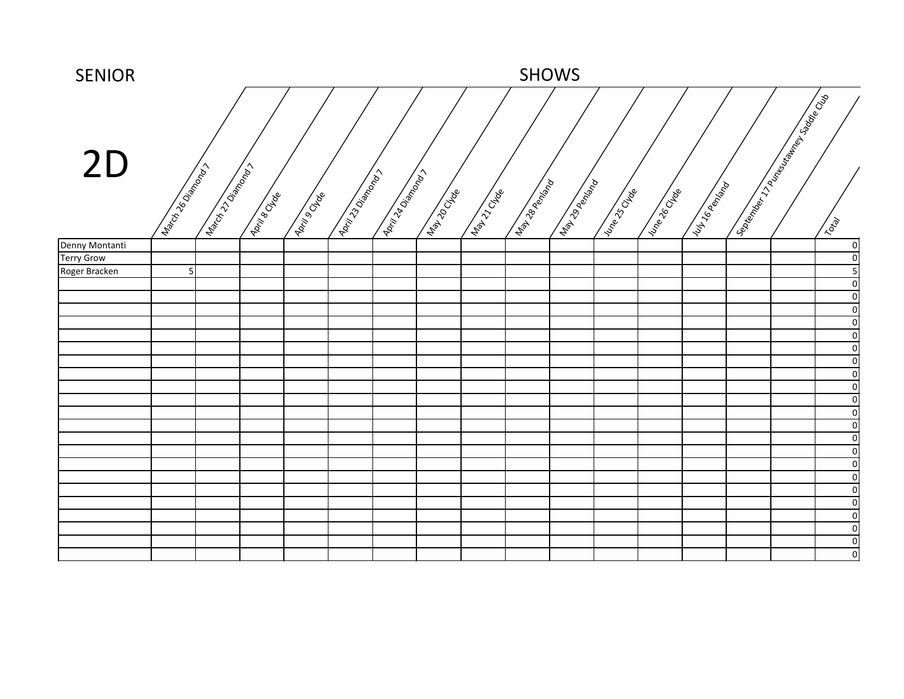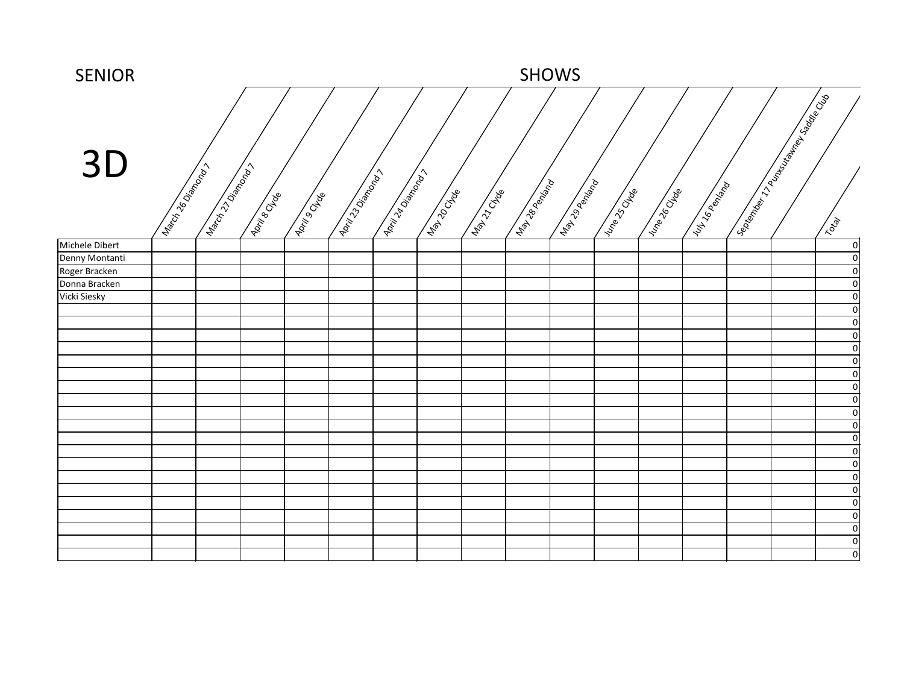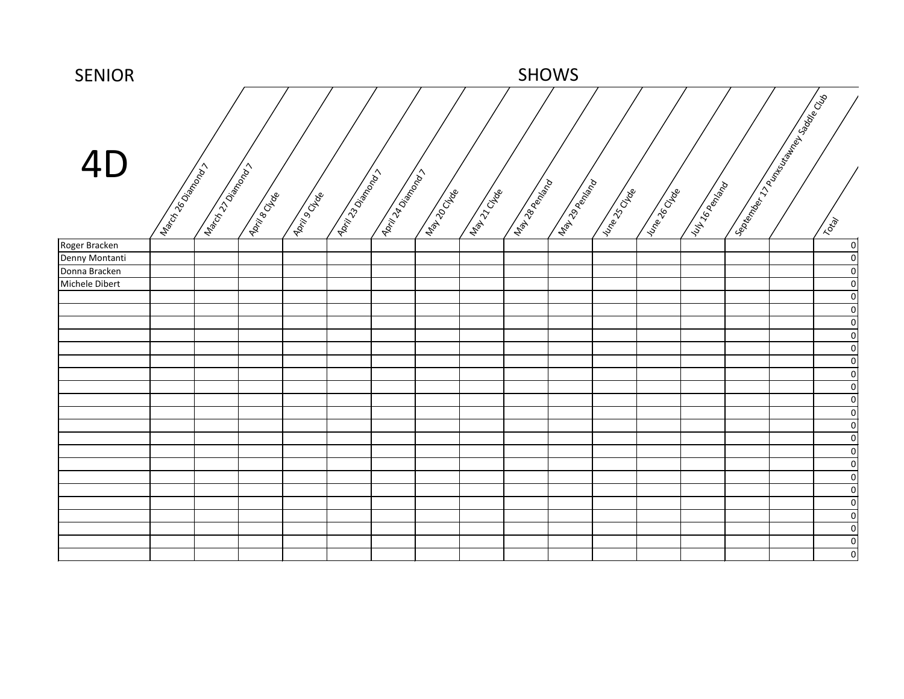